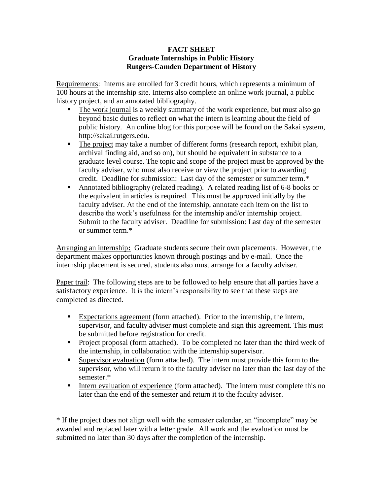#### **FACT SHEET Graduate Internships in Public History Rutgers-Camden Department of History**

Requirements: Interns are enrolled for 3 credit hours, which represents a minimum of 100 hours at the internship site. Interns also complete an online work journal, a public history project, and an annotated bibliography.

- The work journal is a weekly summary of the work experience, but must also go beyond basic duties to reflect on what the intern is learning about the field of public history. An online blog for this purpose will be found on the Sakai system, http://sakai.rutgers.edu.
- The project may take a number of different forms (research report, exhibit plan, archival finding aid, and so on), but should be equivalent in substance to a graduate level course. The topic and scope of the project must be approved by the faculty adviser, who must also receive or view the project prior to awarding credit. Deadline for submission: Last day of the semester or summer term.\*
- Annotated bibliography (related reading). A related reading list of 6-8 books or the equivalent in articles is required. This must be approved initially by the faculty adviser. At the end of the internship, annotate each item on the list to describe the work's usefulness for the internship and/or internship project. Submit to the faculty adviser. Deadline for submission: Last day of the semester or summer term.\*

Arranging an internship**:** Graduate students secure their own placements. However, the department makes opportunities known through postings and by e-mail. Once the internship placement is secured, students also must arrange for a faculty adviser.

Paper trail: The following steps are to be followed to help ensure that all parties have a satisfactory experience. It is the intern's responsibility to see that these steps are completed as directed.

- Expectations agreement (form attached). Prior to the internship, the intern, supervisor, and faculty adviser must complete and sign this agreement. This must be submitted before registration for credit.
- **Project proposal (form attached). To be completed no later than the third week of** the internship, in collaboration with the internship supervisor.
- Supervisor evaluation (form attached). The intern must provide this form to the supervisor, who will return it to the faculty adviser no later than the last day of the semester.\*
- Intern evaluation of experience (form attached). The intern must complete this no later than the end of the semester and return it to the faculty adviser.

\* If the project does not align well with the semester calendar, an "incomplete" may be awarded and replaced later with a letter grade. All work and the evaluation must be submitted no later than 30 days after the completion of the internship.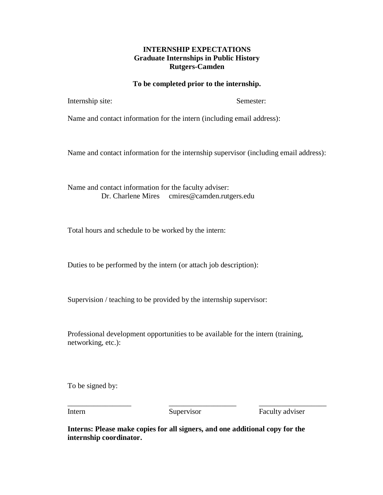### **INTERNSHIP EXPECTATIONS Graduate Internships in Public History Rutgers-Camden**

#### **To be completed prior to the internship.**

Internship site: Semester:

Name and contact information for the intern (including email address):

Name and contact information for the internship supervisor (including email address):

Name and contact information for the faculty adviser: Dr. Charlene Mires cmires@camden.rutgers.edu

Total hours and schedule to be worked by the intern:

Duties to be performed by the intern (or attach job description):

Supervision / teaching to be provided by the internship supervisor:

Professional development opportunities to be available for the intern (training, networking, etc.):

To be signed by:

\_\_\_\_\_\_\_\_\_\_\_\_\_\_\_\_\_ \_\_\_\_\_\_\_\_\_\_\_\_\_\_\_\_\_\_ \_\_\_\_\_\_\_\_\_\_\_\_\_\_\_\_\_\_

Intern Supervisor Faculty adviser

**Interns: Please make copies for all signers, and one additional copy for the internship coordinator.**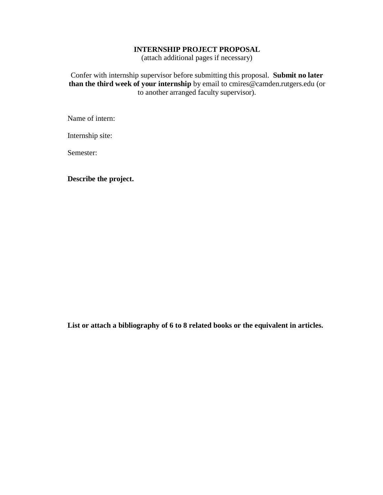### **INTERNSHIP PROJECT PROPOSAL**

(attach additional pages if necessary)

Confer with internship supervisor before submitting this proposal. **Submit no later than the third week of your internship** by email to cmires@camden.rutgers.edu (or to another arranged faculty supervisor).

Name of intern:

Internship site:

Semester:

**Describe the project.**

**List or attach a bibliography of 6 to 8 related books or the equivalent in articles.**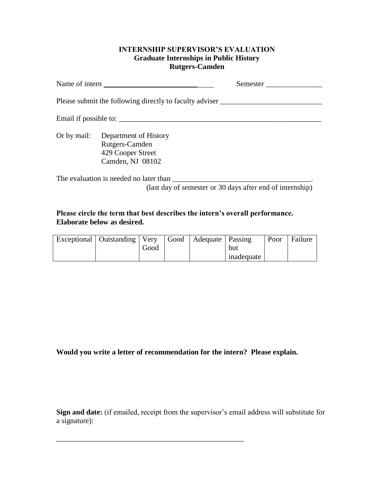#### **INTERNSHIP SUPERVISOR'S EVALUATION Graduate Internships in Public History Rutgers-Camden**

|             |                                                                                  | Semester |
|-------------|----------------------------------------------------------------------------------|----------|
|             | Please submit the following directly to faculty adviser ________________________ |          |
|             | Email if possible to:                                                            |          |
| Or by mail: | Department of History<br>Rutgers-Camden<br>429 Cooper Street<br>Camden, NJ 08102 |          |
|             | (last day of semester or 30 days after end of internship)                        |          |

## **Please circle the term that best describes the intern's overall performance. Elaborate below as desired.**

| Exceptional   Outstanding   Very |      | Good   Adequate   Passing |            | Poor | Failure |
|----------------------------------|------|---------------------------|------------|------|---------|
|                                  | Good |                           | but        |      |         |
|                                  |      |                           | inadequate |      |         |

# **Would you write a letter of recommendation for the intern? Please explain.**

\_\_\_\_\_\_\_\_\_\_\_\_\_\_\_\_\_\_\_\_\_\_\_\_\_\_\_\_\_\_\_\_\_\_\_\_\_\_\_\_\_\_\_\_\_\_\_\_\_\_

**Sign and date:** (if emailed, receipt from the supervisor's email address will substitute for a signature):